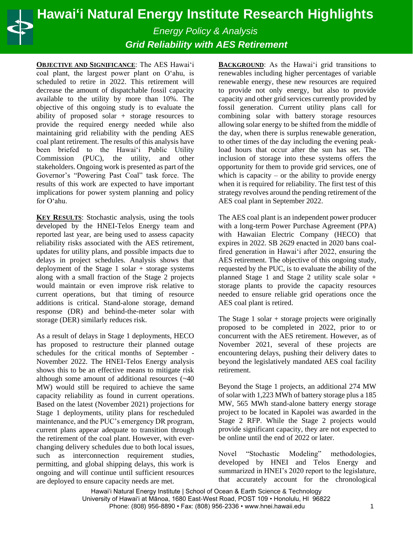## **Hawaiʻi Natural Energy Institute Research Highlights**

*Energy Policy & Analysis Grid Reliability with AES Retirement*

**OBJECTIVE AND SIGNIFICANCE**: The AES Hawaiʻi coal plant, the largest power plant on Oʻahu, is scheduled to retire in 2022. This retirement will decrease the amount of dispatchable fossil capacity available to the utility by more than 10%. The objective of this ongoing study is to evaluate the ability of proposed solar + storage resources to provide the required energy needed while also maintaining grid reliability with the pending AES coal plant retirement. The results of this analysis have been briefed to the Hawaiʻi Public Utility Commission (PUC), the utility, and other stakeholders. Ongoing work is presented as part of the Governor's "Powering Past Coal" task force. The results of this work are expected to have important implications for power system planning and policy for Oʻahu.

**KEY RESULTS**: Stochastic analysis, using the tools developed by the HNEI-Telos Energy team and reported last year, are being used to assess capacity reliability risks associated with the AES retirement, updates for utility plans, and possible impacts due to delays in project schedules. Analysis shows that deployment of the Stage 1 solar + storage systems along with a small fraction of the Stage 2 projects would maintain or even improve risk relative to current operations, but that timing of resource additions is critical. Stand-alone storage, demand response (DR) and behind-the-meter solar with storage (DER) similarly reduces risk.

As a result of delays in Stage 1 deployments, HECO has proposed to restructure their planned outage schedules for the critical months of September - November 2022. The HNEI-Telos Energy analysis shows this to be an effective means to mitigate risk although some amount of additional resources (~40 MW) would still be required to achieve the same capacity reliability as found in current operations. Based on the latest (November 2021) projections for Stage 1 deployments, utility plans for rescheduled maintenance, and the PUC's emergency DR program, current plans appear adequate to transition through the retirement of the coal plant. However, with everchanging delivery schedules due to both local issues, such as interconnection requirement studies, permitting, and global shipping delays, this work is ongoing and will continue until sufficient resources are deployed to ensure capacity needs are met.

**BACKGROUND**: As the Hawaiʻi grid transitions to renewables including higher percentages of variable renewable energy, these new resources are required to provide not only energy, but also to provide capacity and other grid services currently provided by fossil generation. Current utility plans call for combining solar with battery storage resources allowing solar energy to be shifted from the middle of the day, when there is surplus renewable generation, to other times of the day including the evening peakload hours that occur after the sun has set. The inclusion of storage into these systems offers the opportunity for them to provide grid services, one of which is capacity – or the ability to provide energy when it is required for reliability. The first test of this strategy revolves around the pending retirement of the AES coal plant in September 2022.

The AES coal plant is an independent power producer with a long-term Power Purchase Agreement (PPA) with Hawaiian Electric Company (HECO) that expires in 2022. SB 2629 enacted in 2020 bans coalfired generation in Hawaiʻi after 2022, ensuring the AES retirement. The objective of this ongoing study, requested by the PUC, is to evaluate the ability of the planned Stage 1 and Stage 2 utility scale solar + storage plants to provide the capacity resources needed to ensure reliable grid operations once the AES coal plant is retired.

The Stage  $1$  solar  $+$  storage projects were originally proposed to be completed in 2022, prior to or concurrent with the AES retirement. However, as of November 2021, several of these projects are encountering delays, pushing their delivery dates to beyond the legislatively mandated AES coal facility retirement.

Beyond the Stage 1 projects, an additional 274 MW of solar with 1,223 MWh of battery storage plus a 185 MW, 565 MWh stand-alone battery energy storage project to be located in Kapolei was awarded in the Stage 2 RFP. While the Stage 2 projects would provide significant capacity, they are not expected to be online until the end of 2022 or later.

Novel "Stochastic Modeling" methodologies, developed by HNEI and Telos Energy and summarized in HNEI's 2020 report to the legislature, that accurately account for the chronological

Hawai'i Natural Energy Institute | School of Ocean & Earth Science & Technology University of Hawaiʻi at Mānoa, 1680 East-West Road, POST 109 • Honolulu, HI 96822 Phone: (808) 956-8890 • Fax: (808) 956-2336 • www.hnei.hawaii.edu 1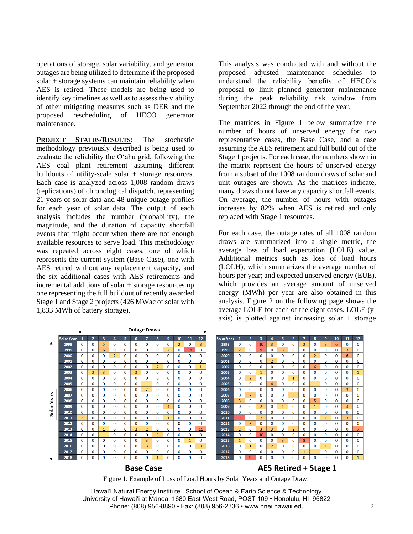operations of storage, solar variability, and generator outages are being utilized to determine if the proposed solar + storage systems can maintain reliability when AES is retired. These models are being used to identify key timelines as well as to assess the viability of other mitigating measures such as DER and the proposed rescheduling of HECO generator maintenance.

**PROJECT STATUS/RESULTS**: The stochastic methodology previously described is being used to evaluate the reliability the Oʻahu grid, following the AES coal plant retirement assuming different buildouts of utility-scale solar + storage resources. Each case is analyzed across 1,008 random draws (replications) of chronological dispatch, representing 21 years of solar data and 48 unique outage profiles for each year of solar data. The output of each analysis includes the number (probability), the magnitude, and the duration of capacity shortfall events that might occur when there are not enough available resources to serve load. This methodology was repeated across eight cases, one of which represents the current system (Base Case), one with AES retired without any replacement capacity, and the six additional cases with AES retirements and incremental additions of solar + storage resources up one representing the full buildout of recently awarded Stage 1 and Stage 2 projects (426 MWac of solar with 1,833 MWh of battery storage).

This analysis was conducted with and without the proposed adjusted maintenance schedules to understand the reliability benefits of HECO's proposal to limit planned generator maintenance during the peak reliability risk window from September 2022 through the end of the year.

The matrices in Figure 1 below summarize the number of hours of unserved energy for two representative cases, the Base Case, and a case assuming the AES retirement and full build out of the Stage 1 projects. For each case, the numbers shown in the matrix represent the hours of unserved energy from a subset of the 1008 random draws of solar and unit outages are shown. As the matrices indicate, many draws do not have any capacity shortfall events. On average, the number of hours with outages increases by 82% when AES is retired and only replaced with Stage 1 resources.

For each case, the outage rates of all 1008 random draws are summarized into a single metric, the average loss of load expectation (LOLE) value. Additional metrics such as loss of load hours (LOLH), which summarizes the average number of hours per year; and expected unserved energy (EUE), which provides an average amount of unserved energy (MWh) per year are also obtained in this analysis. Figure 2 on the following page shows the average LOLE for each of the eight cases. LOLE (yaxis) is plotted against increasing solar + storage



**Base Case** 

AES Retired + Stage 1

Figure 1. Example of Loss of Load Hours by Solar Years and Outage Draw.

Hawai'i Natural Energy Institute | School of Ocean & Earth Science & Technology University of Hawaiʻi at Mānoa, 1680 East-West Road, POST 109 • Honolulu, HI 96822 Phone: (808) 956-8890 • Fax: (808) 956-2336 • www.hnei.hawaii.edu 2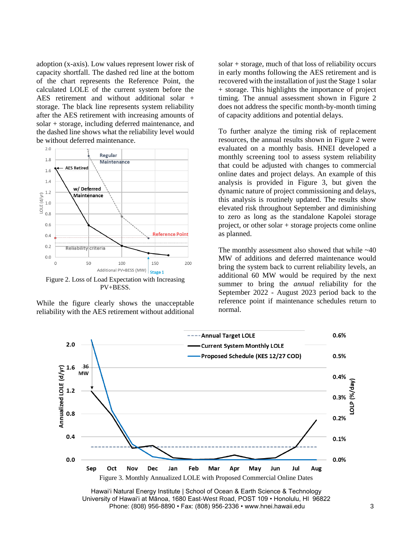adoption (x-axis). Low values represent lower risk of capacity shortfall. The dashed red line at the bottom of the chart represents the Reference Point, the calculated LOLE of the current system before the AES retirement and without additional solar + storage. The black line represents system reliability after the AES retirement with increasing amounts of solar + storage, including deferred maintenance, and the dashed line shows what the reliability level would be without deferred maintenance.



Figure 2. Loss of Load Expectation with Increasing PV+BESS.

While the figure clearly shows the unacceptable reliability with the AES retirement without additional solar + storage, much of that loss of reliability occurs in early months following the AES retirement and is recovered with the installation of just the Stage 1 solar + storage. This highlights the importance of project timing. The annual assessment shown in Figure 2 does not address the specific month-by-month timing of capacity additions and potential delays.

To further analyze the timing risk of replacement resources, the annual results shown in Figure 2 were evaluated on a monthly basis. HNEI developed a monthly screening tool to assess system reliability that could be adjusted with changes to commercial online dates and project delays. An example of this analysis is provided in Figure 3, but given the dynamic nature of project commissioning and delays, this analysis is routinely updated. The results show elevated risk throughout September and diminishing to zero as long as the standalone Kapolei storage project, or other solar + storage projects come online as planned.

The monthly assessment also showed that while  $~140$ MW of additions and deferred maintenance would bring the system back to current reliability levels, an additional 60 MW would be required by the next summer to bring the *annual* reliability for the September 2022 - August 2023 period back to the reference point if maintenance schedules return to normal.



Hawai'i Natural Energy Institute | School of Ocean & Earth Science & Technology University of Hawaiʻi at Mānoa, 1680 East-West Road, POST 109 • Honolulu, HI 96822 Phone: (808) 956-8890 • Fax: (808) 956-2336 • www.hnei.hawaii.edu 3